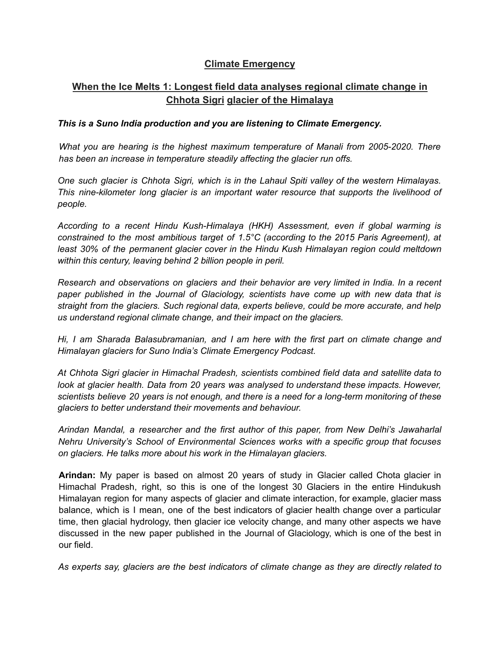## **Climate Emergency**

# **When the Ice Melts 1: Longest field data analyses regional climate change in Chhota Sigri glacier of the Himalaya**

### *This is a Suno India production and you are listening to Climate Emergency.*

*What you are hearing is the highest maximum temperature of Manali from 2005-2020. There has been an increase in temperature steadily affecting the glacier run offs.*

*One such glacier is Chhota Sigri, which is in the Lahaul Spiti valley of the western Himalayas. This nine-kilometer long glacier is an important water resource that supports the livelihood of people.*

*According to a recent Hindu Kush-Himalaya (HKH) Assessment, even if global warming is constrained to the most ambitious target of 1.5°C (according to the 2015 Paris Agreement), at least 30% of the permanent glacier cover in the Hindu Kush Himalayan region could meltdown within this century, leaving behind 2 billion people in peril.*

*Research and observations on glaciers and their behavior are very limited in India. In a recent paper published in the Journal of Glaciology, scientists have come up with new data that is straight from the glaciers. Such regional data, experts believe, could be more accurate, and help us understand regional climate change, and their impact on the glaciers.*

*Hi, I am Sharada Balasubramanian, and I am here with the first part on climate change and Himalayan glaciers for Suno India's Climate Emergency Podcast.*

*At Chhota Sigri glacier in Himachal Pradesh, scientists combined field data and satellite data to look at glacier health. Data from 20 years was analysed to understand these impacts. However, scientists believe 20 years is not enough, and there is a need for a long-term monitoring of these glaciers to better understand their movements and behaviour.*

*Arindan Mandal, a researcher and the first author of this paper, from New Delhi's Jawaharlal Nehru University's School of Environmental Sciences works with a specific group that focuses on glaciers. He talks more about his work in the Himalayan glaciers.*

**Arindan:** My paper is based on almost 20 years of study in Glacier called Chota glacier in Himachal Pradesh, right, so this is one of the longest 30 Glaciers in the entire Hindukush Himalayan region for many aspects of glacier and climate interaction, for example, glacier mass balance, which is I mean, one of the best indicators of glacier health change over a particular time, then glacial hydrology, then glacier ice velocity change, and many other aspects we have discussed in the new paper published in the Journal of Glaciology, which is one of the best in our field.

*As experts say, glaciers are the best indicators of climate change as they are directly related to*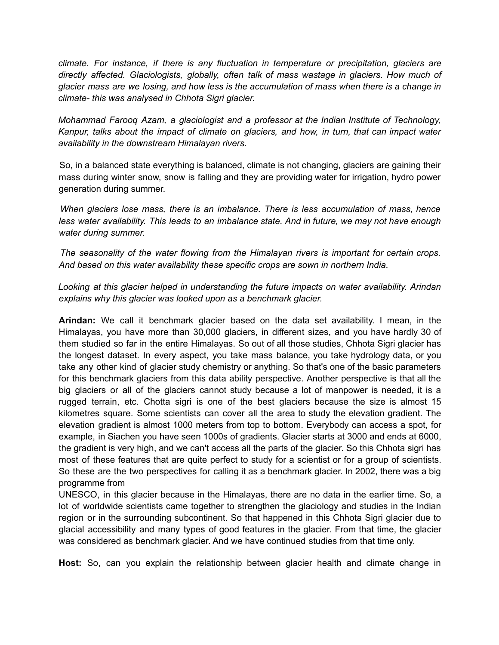*climate. For instance, if there is any fluctuation in temperature or precipitation, glaciers are directly affected. Glaciologists, globally, often talk of mass wastage in glaciers. How much of* glacier mass are we losing, and how less is the accumulation of mass when there is a change in *climate- this was analysed in Chhota Sigri glacier.*

*Mohammad Farooq Azam, a glaciologist and a professor at the Indian Institute of Technology, Kanpur, talks about the impact of climate on glaciers, and how, in turn, that can impact water availability in the downstream Himalayan rivers.*

So, in a balanced state everything is balanced, climate is not changing, glaciers are gaining their mass during winter snow, snow is falling and they are providing water for irrigation, hydro power generation during summer.

*When glaciers lose mass, there is an imbalance. There is less accumulation of mass, hence less water availability. This leads to an imbalance state. And in future, we may not have enough water during summer.*

*The seasonality of the water flowing from the Himalayan rivers is important for certain crops. And based on this water availability these specific crops are sown in northern India.*

*Looking at this glacier helped in understanding the future impacts on water availability. Arindan explains why this glacier was looked upon as a benchmark glacier.*

**Arindan:** We call it benchmark glacier based on the data set availability. I mean, in the Himalayas, you have more than 30,000 glaciers, in different sizes, and you have hardly 30 of them studied so far in the entire Himalayas. So out of all those studies, Chhota Sigri glacier has the longest dataset. In every aspect, you take mass balance, you take hydrology data, or you take any other kind of glacier study chemistry or anything. So that's one of the basic parameters for this benchmark glaciers from this data ability perspective. Another perspective is that all the big glaciers or all of the glaciers cannot study because a lot of manpower is needed, it is a rugged terrain, etc. Chotta sigri is one of the best glaciers because the size is almost 15 kilometres square. Some scientists can cover all the area to study the elevation gradient. The elevation gradient is almost 1000 meters from top to bottom. Everybody can access a spot, for example, in Siachen you have seen 1000s of gradients. Glacier starts at 3000 and ends at 6000, the gradient is very high, and we can't access all the parts of the glacier. So this Chhota sigri has most of these features that are quite perfect to study for a scientist or for a group of scientists. So these are the two perspectives for calling it as a benchmark glacier. In 2002, there was a big programme from

UNESCO, in this glacier because in the Himalayas, there are no data in the earlier time. So, a lot of worldwide scientists came together to strengthen the glaciology and studies in the Indian region or in the surrounding subcontinent. So that happened in this Chhota Sigri glacier due to glacial accessibility and many types of good features in the glacier. From that time, the glacier was considered as benchmark glacier. And we have continued studies from that time only.

**Host:** So, can you explain the relationship between glacier health and climate change in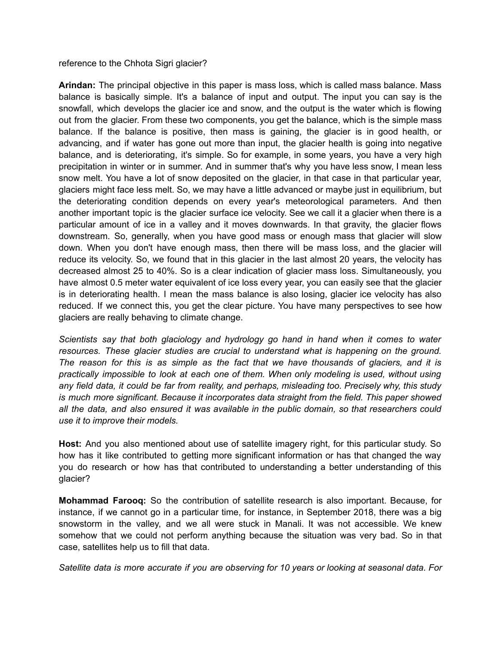#### reference to the Chhota Sigri glacier?

**Arindan:** The principal objective in this paper is mass loss, which is called mass balance. Mass balance is basically simple. It's a balance of input and output. The input you can say is the snowfall, which develops the glacier ice and snow, and the output is the water which is flowing out from the glacier. From these two components, you get the balance, which is the simple mass balance. If the balance is positive, then mass is gaining, the glacier is in good health, or advancing, and if water has gone out more than input, the glacier health is going into negative balance, and is deteriorating, it's simple. So for example, in some years, you have a very high precipitation in winter or in summer. And in summer that's why you have less snow, I mean less snow melt. You have a lot of snow deposited on the glacier, in that case in that particular year, glaciers might face less melt. So, we may have a little advanced or maybe just in equilibrium, but the deteriorating condition depends on every year's meteorological parameters. And then another important topic is the glacier surface ice velocity. See we call it a glacier when there is a particular amount of ice in a valley and it moves downwards. In that gravity, the glacier flows downstream. So, generally, when you have good mass or enough mass that glacier will slow down. When you don't have enough mass, then there will be mass loss, and the glacier will reduce its velocity. So, we found that in this glacier in the last almost 20 years, the velocity has decreased almost 25 to 40%. So is a clear indication of glacier mass loss. Simultaneously, you have almost 0.5 meter water equivalent of ice loss every year, you can easily see that the glacier is in deteriorating health. I mean the mass balance is also losing, glacier ice velocity has also reduced. If we connect this, you get the clear picture. You have many perspectives to see how glaciers are really behaving to climate change.

*Scientists say that both glaciology and hydrology go hand in hand when it comes to water resources. These glacier studies are crucial to understand what is happening on the ground. The reason for this is as simple as the fact that we have thousands of glaciers, and it is practically impossible to look at each one of them. When only modeling is used, without using any field data, it could be far from reality, and perhaps, misleading too. Precisely why, this study is much more significant. Because it incorporates data straight from the field. This paper showed all the data, and also ensured it was available in the public domain, so that researchers could use it to improve their models.*

**Host:** And you also mentioned about use of satellite imagery right, for this particular study. So how has it like contributed to getting more significant information or has that changed the way you do research or how has that contributed to understanding a better understanding of this glacier?

**Mohammad Farooq:** So the contribution of satellite research is also important. Because, for instance, if we cannot go in a particular time, for instance, in September 2018, there was a big snowstorm in the valley, and we all were stuck in Manali. It was not accessible. We knew somehow that we could not perform anything because the situation was very bad. So in that case, satellites help us to fill that data.

*Satellite data is more accurate if you are observing for 10 years or looking at seasonal data. For*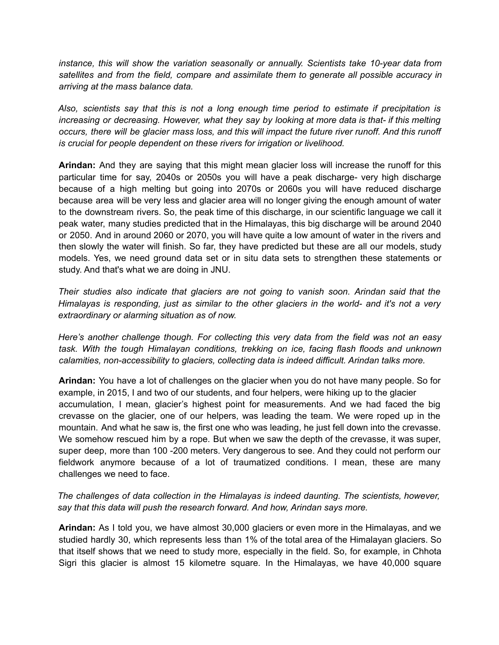*instance, this will show the variation seasonally or annually. Scientists take 10-year data from satellites and from the field, compare and assimilate them to generate all possible accuracy in arriving at the mass balance data.*

*Also, scientists say that this is not a long enough time period to estimate if precipitation is increasing or decreasing. However, what they say by looking at more data is that- if this melting* occurs, there will be glacier mass loss, and this will impact the future river runoff. And this runoff *is crucial for people dependent on these rivers for irrigation or livelihood.*

**Arindan:** And they are saying that this might mean glacier loss will increase the runoff for this particular time for say, 2040s or 2050s you will have a peak discharge- very high discharge because of a high melting but going into 2070s or 2060s you will have reduced discharge because area will be very less and glacier area will no longer giving the enough amount of water to the downstream rivers. So, the peak time of this discharge, in our scientific language we call it peak water, many studies predicted that in the Himalayas, this big discharge will be around 2040 or 2050. And in around 2060 or 2070, you will have quite a low amount of water in the rivers and then slowly the water will finish. So far, they have predicted but these are all our models, study models. Yes, we need ground data set or in situ data sets to strengthen these statements or study. And that's what we are doing in JNU.

*Their studies also indicate that glaciers are not going to vanish soon. Arindan said that the Himalayas is responding, just as similar to the other glaciers in the world- and it's not a very extraordinary or alarming situation as of now.*

*Here's another challenge though. For collecting this very data from the field was not an easy task. With the tough Himalayan conditions, trekking on ice, facing flash floods and unknown calamities, non-accessibility to glaciers, collecting data is indeed difficult. Arindan talks more.*

**Arindan:** You have a lot of challenges on the glacier when you do not have many people. So for example, in 2015, I and two of our students, and four helpers, were hiking up to the glacier accumulation, I mean, glacier's highest point for measurements. And we had faced the big crevasse on the glacier, one of our helpers, was leading the team. We were roped up in the mountain. And what he saw is, the first one who was leading, he just fell down into the crevasse. We somehow rescued him by a rope. But when we saw the depth of the crevasse, it was super, super deep, more than 100 -200 meters. Very dangerous to see. And they could not perform our fieldwork anymore because of a lot of traumatized conditions. I mean, these are many challenges we need to face.

### *The challenges of data collection in the Himalayas is indeed daunting. The scientists, however, say that this data will push the research forward. And how, Arindan says more.*

**Arindan:** As I told you, we have almost 30,000 glaciers or even more in the Himalayas, and we studied hardly 30, which represents less than 1% of the total area of the Himalayan glaciers. So that itself shows that we need to study more, especially in the field. So, for example, in Chhota Sigri this glacier is almost 15 kilometre square. In the Himalayas, we have 40,000 square